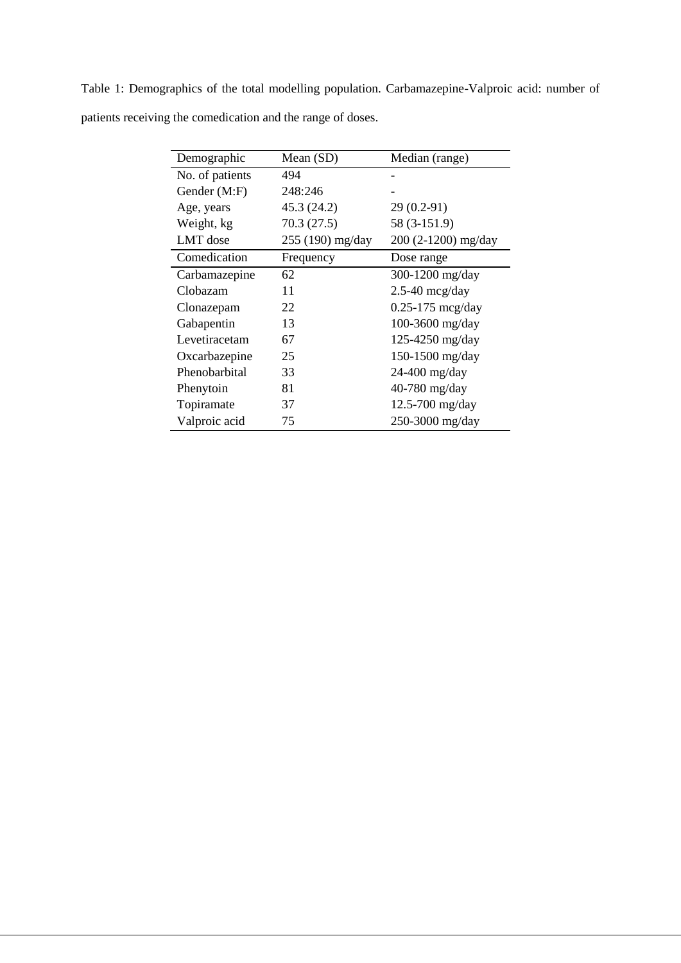| Demographic     | Mean (SD)        | Median (range)       |
|-----------------|------------------|----------------------|
| No. of patients | 494              |                      |
| Gender (M:F)    | 248:246          |                      |
| Age, years      | 45.3 (24.2)      | $29(0.2-91)$         |
| Weight, kg      | 70.3(27.5)       | 58 (3-151.9)         |
| LMT dose        | 255 (190) mg/day | 200 (2-1200) mg/day  |
| Comedication    | Frequency        | Dose range           |
| Carbamazepine   | 62               | 300-1200 mg/day      |
| Clobazam        | 11               | $2.5-40$ mcg/day     |
| Clonazepam      | 22               | $0.25 - 175$ mcg/day |
| Gabapentin      | 13               | 100-3600 mg/day      |
| Levetiracetam   | 67               | 125-4250 mg/day      |
| Oxcarbazepine   | 25               | 150-1500 mg/day      |
| Phenobarbital   | 33               | 24-400 mg/day        |
| Phenytoin       | 81               | 40-780 mg/day        |
| Topiramate      | 37               | $12.5 - 700$ mg/day  |
| Valproic acid   | 75               | 250-3000 mg/day      |

Table 1: Demographics of the total modelling population. Carbamazepine-Valproic acid: number of patients receiving the comedication and the range of doses.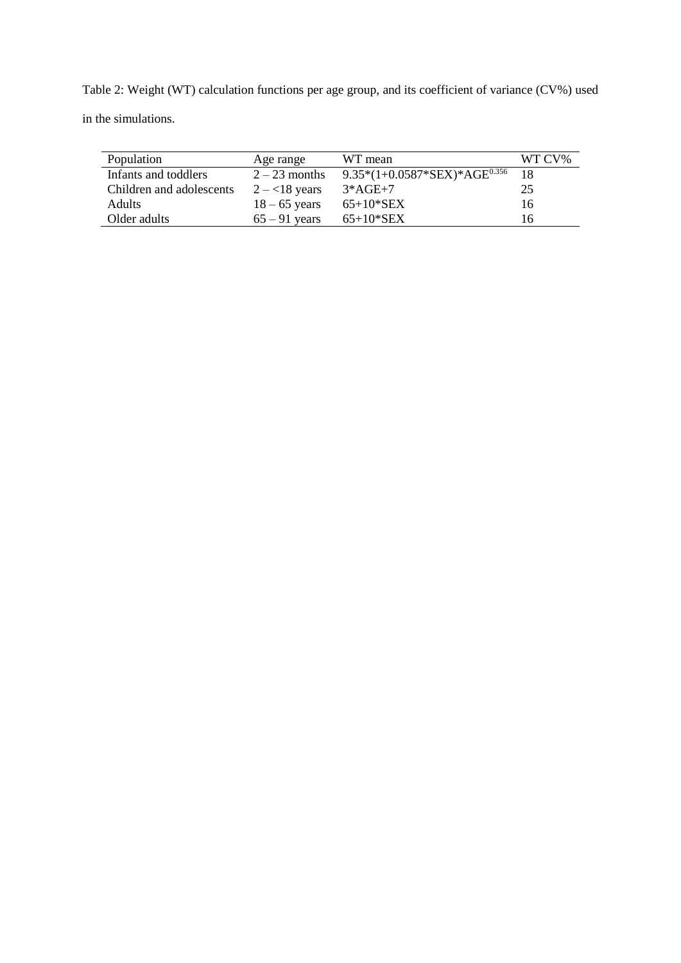Table 2: Weight (WT) calculation functions per age group, and its coefficient of variance (CV%) used in the simulations.

| Population               | Age range        | WT mean                            | WT CV% |
|--------------------------|------------------|------------------------------------|--------|
| Infants and toddlers     | $2-23$ months    | 9.35* $(1+0.0587*SEX)*AGE^{0.356}$ | -18    |
| Children and adolescents | $2 - < 18$ years | $3*AGE+7$                          | 25     |
| <b>Adults</b>            | $18 - 65$ years  | $65+10*SEX$                        | 16     |
| Older adults             | $65 - 91$ years  | $65+10*$ SEX                       | 16     |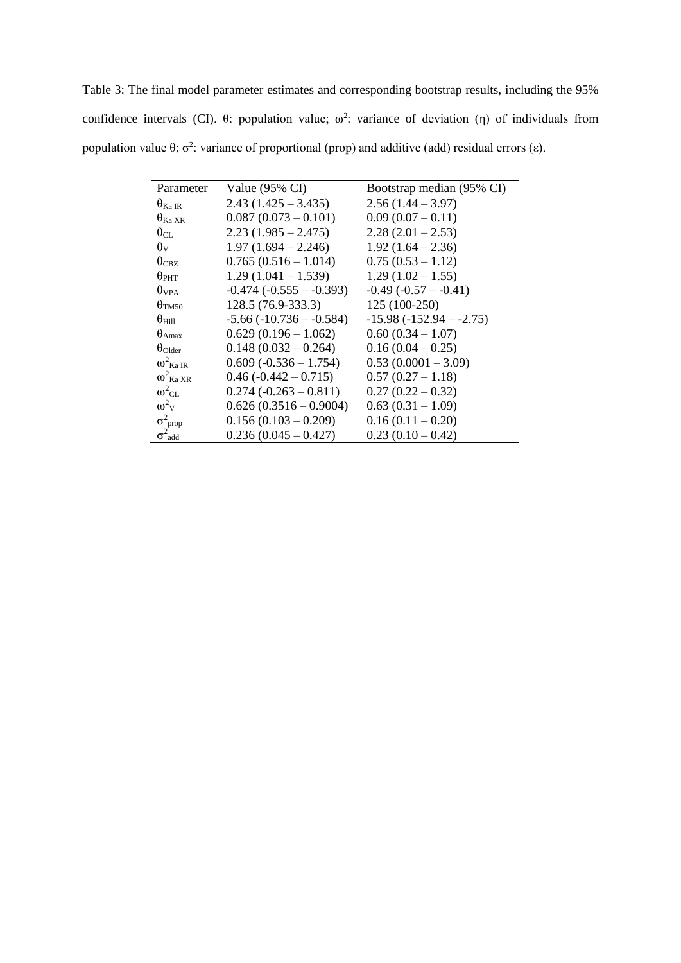Table 3: The final model parameter estimates and corresponding bootstrap results, including the 95% confidence intervals (CI).  $\theta$ : population value;  $\omega^2$ : variance of deviation (η) of individuals from population value  $\theta$ ;  $\sigma^2$ : variance of proportional (prop) and additive (add) residual errors (ε).

| Parameter                  | Value $(95\% \text{ CI})$      | Bootstrap median (95% CI) |
|----------------------------|--------------------------------|---------------------------|
| $\theta_{\rm Ka\,IR}$      | $2.43(1.425 - 3.435)$          | $2.56(1.44 - 3.97)$       |
| $\theta_{\rm Ka\,XR}$      | $0.087(0.073 - 0.101)$         | $0.09(0.07-0.11)$         |
| $\theta_{\rm CL}$          | $2.23(1.985 - 2.475)$          | $2.28(2.01 - 2.53)$       |
| $\theta_{\rm V}$           | $1.97(1.694 - 2.246)$          | $1.92(1.64 - 2.36)$       |
| $\theta_{\rm CBZ}$         | $0.765(0.516 - 1.014)$         | $0.75(0.53 - 1.12)$       |
| $\theta_{\rm PHT}$         | $1.29(1.041 - 1.539)$          | $1.29(1.02 - 1.55)$       |
| $\theta$ vpa               | $-0.474$ $(-0.555 - -0.393)$   | $-0.49(-0.57 - -0.41)$    |
| $\theta_{TM50}$            | 128.5 (76.9-333.3)             | 125 (100-250)             |
| $\theta_{\rm Hill}$        | $-5.66$ ( $-10.736 - -0.584$ ) | $-15.98(-152.94 - 2.75)$  |
| $\theta_{A max}$           | $0.629(0.196 - 1.062)$         | $0.60(0.34 - 1.07)$       |
| $\theta$ Older             | $0.148(0.032 - 0.264)$         | $0.16(0.04 - 0.25)$       |
| $\omega^2$ Ka IR           | $0.609 (-0.536 - 1.754)$       | $0.53(0.0001 - 3.09)$     |
| $\omega^2$ Ka XR           | $0.46 (-0.442 - 0.715)$        | $0.57(0.27-1.18)$         |
| $\omega^2$ <sub>CL</sub>   | $0.274 (-0.263 - 0.811)$       | $0.27(0.22-0.32)$         |
| $\omega^2$ <sub>V</sub>    | $0.626(0.3516 - 0.9004)$       | $0.63(0.31-1.09)$         |
| $\sigma^2$ <sub>prop</sub> | $0.156(0.103 - 0.209)$         | $0.16(0.11-0.20)$         |
| $\sigma^2$ <sub>add</sub>  | $0.236(0.045 - 0.427)$         | $0.23(0.10-0.42)$         |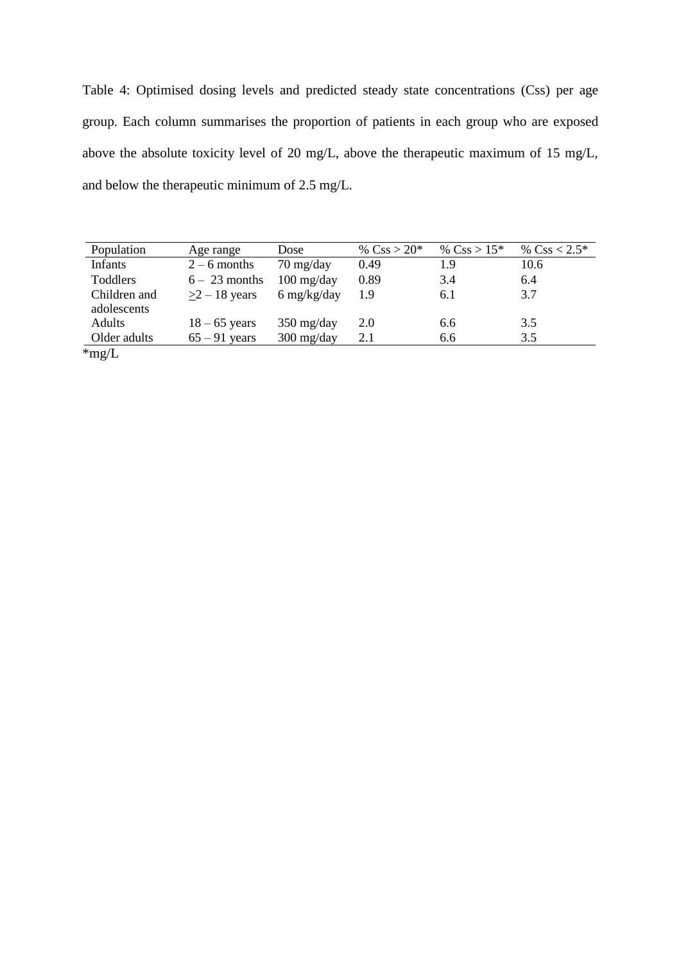Table 4: Optimised dosing levels and predicted steady state concentrations (Css) per age group. Each column summarises the proportion of patients in each group who are exposed above the absolute toxicity level of 20 mg/L, above the therapeutic maximum of 15 mg/L, and below the therapeutic minimum of 2.5 mg/L.

| Population      | Age range       | Dose                               | % $\rm CsS > 20*$ | % $\rm CsS > 15*$ | % $Css < 2.5*$ |
|-----------------|-----------------|------------------------------------|-------------------|-------------------|----------------|
| <b>Infants</b>  | $2 - 6$ months  | $70 \frac{\text{mg}}{\text{day}}$  | 0.49              | 1.9               | 10.6           |
| Toddlers        | $6 - 23$ months | $100 \frac{\text{mg}}{\text{day}}$ | 0.89              | 3.4               | 6.4            |
| Children and    | $>2-18$ years   | $6 \frac{\text{mg}}{\text{kg}}$    | 1.9               | 6.1               | 3.7            |
| adolescents     |                 |                                    |                   |                   |                |
| Adults          | $18 - 65$ years | $350 \frac{\text{mg}}{\text{day}}$ | 2.0               | 6.6               | 3.5            |
| Older adults    | $65 - 91$ years | $300 \frac{\text{mg}}{\text{day}}$ | 2.1               | 6.6               | 3.5            |
| $\mathrm{mg/L}$ |                 |                                    |                   |                   |                |